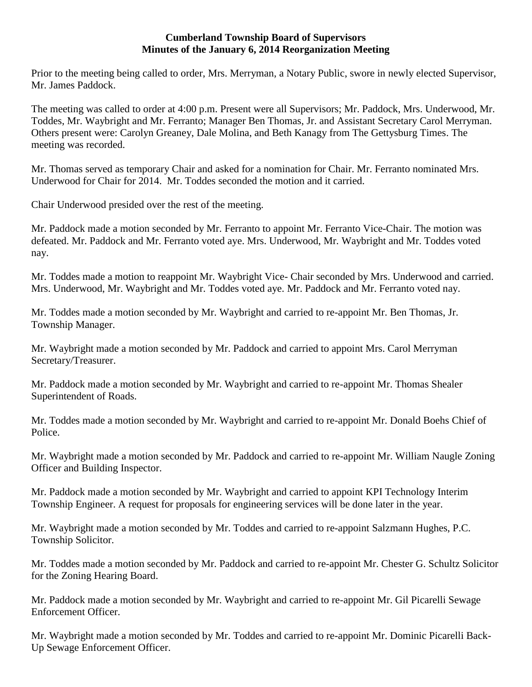#### **Cumberland Township Board of Supervisors Minutes of the January 6, 2014 Reorganization Meeting**

Prior to the meeting being called to order, Mrs. Merryman, a Notary Public, swore in newly elected Supervisor, Mr. James Paddock.

The meeting was called to order at 4:00 p.m. Present were all Supervisors; Mr. Paddock, Mrs. Underwood, Mr. Toddes, Mr. Waybright and Mr. Ferranto; Manager Ben Thomas, Jr. and Assistant Secretary Carol Merryman. Others present were: Carolyn Greaney, Dale Molina, and Beth Kanagy from The Gettysburg Times. The meeting was recorded.

Mr. Thomas served as temporary Chair and asked for a nomination for Chair. Mr. Ferranto nominated Mrs. Underwood for Chair for 2014. Mr. Toddes seconded the motion and it carried.

Chair Underwood presided over the rest of the meeting.

Mr. Paddock made a motion seconded by Mr. Ferranto to appoint Mr. Ferranto Vice-Chair. The motion was defeated. Mr. Paddock and Mr. Ferranto voted aye. Mrs. Underwood, Mr. Waybright and Mr. Toddes voted nay.

Mr. Toddes made a motion to reappoint Mr. Waybright Vice- Chair seconded by Mrs. Underwood and carried. Mrs. Underwood, Mr. Waybright and Mr. Toddes voted aye. Mr. Paddock and Mr. Ferranto voted nay.

Mr. Toddes made a motion seconded by Mr. Waybright and carried to re-appoint Mr. Ben Thomas, Jr. Township Manager.

Mr. Waybright made a motion seconded by Mr. Paddock and carried to appoint Mrs. Carol Merryman Secretary/Treasurer.

Mr. Paddock made a motion seconded by Mr. Waybright and carried to re-appoint Mr. Thomas Shealer Superintendent of Roads.

Mr. Toddes made a motion seconded by Mr. Waybright and carried to re-appoint Mr. Donald Boehs Chief of Police.

Mr. Waybright made a motion seconded by Mr. Paddock and carried to re-appoint Mr. William Naugle Zoning Officer and Building Inspector.

Mr. Paddock made a motion seconded by Mr. Waybright and carried to appoint KPI Technology Interim Township Engineer. A request for proposals for engineering services will be done later in the year.

Mr. Waybright made a motion seconded by Mr. Toddes and carried to re-appoint Salzmann Hughes, P.C. Township Solicitor.

Mr. Toddes made a motion seconded by Mr. Paddock and carried to re-appoint Mr. Chester G. Schultz Solicitor for the Zoning Hearing Board.

Mr. Paddock made a motion seconded by Mr. Waybright and carried to re-appoint Mr. Gil Picarelli Sewage Enforcement Officer.

Mr. Waybright made a motion seconded by Mr. Toddes and carried to re-appoint Mr. Dominic Picarelli Back-Up Sewage Enforcement Officer.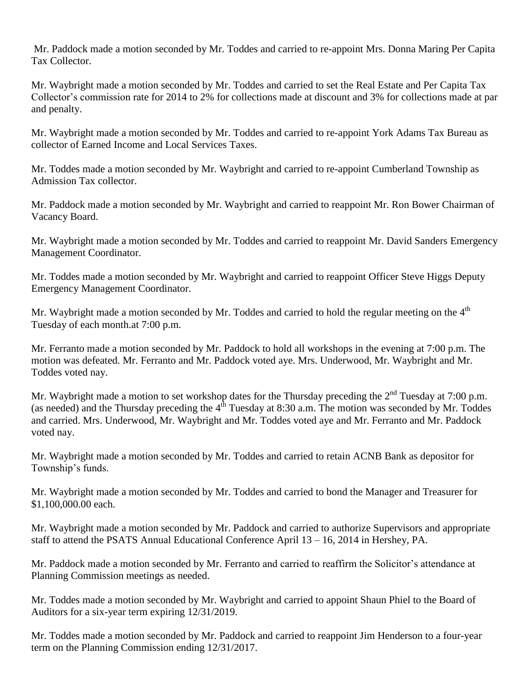Mr. Paddock made a motion seconded by Mr. Toddes and carried to re-appoint Mrs. Donna Maring Per Capita Tax Collector.

Mr. Waybright made a motion seconded by Mr. Toddes and carried to set the Real Estate and Per Capita Tax Collector's commission rate for 2014 to 2% for collections made at discount and 3% for collections made at par and penalty.

Mr. Waybright made a motion seconded by Mr. Toddes and carried to re-appoint York Adams Tax Bureau as collector of Earned Income and Local Services Taxes.

Mr. Toddes made a motion seconded by Mr. Waybright and carried to re-appoint Cumberland Township as Admission Tax collector.

Mr. Paddock made a motion seconded by Mr. Waybright and carried to reappoint Mr. Ron Bower Chairman of Vacancy Board.

Mr. Waybright made a motion seconded by Mr. Toddes and carried to reappoint Mr. David Sanders Emergency Management Coordinator.

Mr. Toddes made a motion seconded by Mr. Waybright and carried to reappoint Officer Steve Higgs Deputy Emergency Management Coordinator.

Mr. Waybright made a motion seconded by Mr. Toddes and carried to hold the regular meeting on the 4<sup>th</sup> Tuesday of each month.at 7:00 p.m.

Mr. Ferranto made a motion seconded by Mr. Paddock to hold all workshops in the evening at 7:00 p.m. The motion was defeated. Mr. Ferranto and Mr. Paddock voted aye. Mrs. Underwood, Mr. Waybright and Mr. Toddes voted nay.

Mr. Waybright made a motion to set workshop dates for the Thursday preceding the 2<sup>nd</sup> Tuesday at 7:00 p.m. (as needed) and the Thursday preceding the  $4^{th}$  Tuesday at 8:30 a.m. The motion was seconded by Mr. Toddes and carried. Mrs. Underwood, Mr. Waybright and Mr. Toddes voted aye and Mr. Ferranto and Mr. Paddock voted nay.

Mr. Waybright made a motion seconded by Mr. Toddes and carried to retain ACNB Bank as depositor for Township's funds.

Mr. Waybright made a motion seconded by Mr. Toddes and carried to bond the Manager and Treasurer for \$1,100,000.00 each.

Mr. Waybright made a motion seconded by Mr. Paddock and carried to authorize Supervisors and appropriate staff to attend the PSATS Annual Educational Conference April 13 – 16, 2014 in Hershey, PA.

Mr. Paddock made a motion seconded by Mr. Ferranto and carried to reaffirm the Solicitor's attendance at Planning Commission meetings as needed.

Mr. Toddes made a motion seconded by Mr. Waybright and carried to appoint Shaun Phiel to the Board of Auditors for a six-year term expiring 12/31/2019.

Mr. Toddes made a motion seconded by Mr. Paddock and carried to reappoint Jim Henderson to a four-year term on the Planning Commission ending 12/31/2017.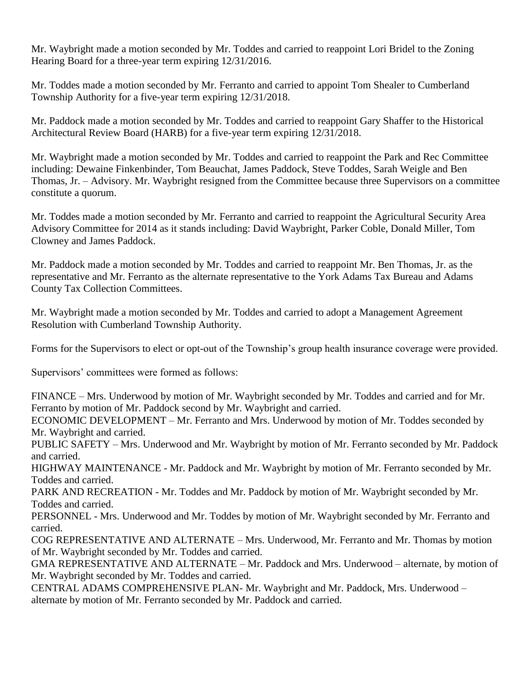Mr. Waybright made a motion seconded by Mr. Toddes and carried to reappoint Lori Bridel to the Zoning Hearing Board for a three-year term expiring 12/31/2016.

Mr. Toddes made a motion seconded by Mr. Ferranto and carried to appoint Tom Shealer to Cumberland Township Authority for a five-year term expiring 12/31/2018.

Mr. Paddock made a motion seconded by Mr. Toddes and carried to reappoint Gary Shaffer to the Historical Architectural Review Board (HARB) for a five-year term expiring 12/31/2018.

Mr. Waybright made a motion seconded by Mr. Toddes and carried to reappoint the Park and Rec Committee including: Dewaine Finkenbinder, Tom Beauchat, James Paddock, Steve Toddes, Sarah Weigle and Ben Thomas, Jr. – Advisory. Mr. Waybright resigned from the Committee because three Supervisors on a committee constitute a quorum.

Mr. Toddes made a motion seconded by Mr. Ferranto and carried to reappoint the Agricultural Security Area Advisory Committee for 2014 as it stands including: David Waybright, Parker Coble, Donald Miller, Tom Clowney and James Paddock.

Mr. Paddock made a motion seconded by Mr. Toddes and carried to reappoint Mr. Ben Thomas, Jr. as the representative and Mr. Ferranto as the alternate representative to the York Adams Tax Bureau and Adams County Tax Collection Committees.

Mr. Waybright made a motion seconded by Mr. Toddes and carried to adopt a Management Agreement Resolution with Cumberland Township Authority.

Forms for the Supervisors to elect or opt-out of the Township's group health insurance coverage were provided.

Supervisors' committees were formed as follows:

FINANCE – Mrs. Underwood by motion of Mr. Waybright seconded by Mr. Toddes and carried and for Mr. Ferranto by motion of Mr. Paddock second by Mr. Waybright and carried.

ECONOMIC DEVELOPMENT – Mr. Ferranto and Mrs. Underwood by motion of Mr. Toddes seconded by Mr. Waybright and carried.

PUBLIC SAFETY – Mrs. Underwood and Mr. Waybright by motion of Mr. Ferranto seconded by Mr. Paddock and carried.

HIGHWAY MAINTENANCE - Mr. Paddock and Mr. Waybright by motion of Mr. Ferranto seconded by Mr. Toddes and carried.

PARK AND RECREATION - Mr. Toddes and Mr. Paddock by motion of Mr. Waybright seconded by Mr. Toddes and carried.

PERSONNEL - Mrs. Underwood and Mr. Toddes by motion of Mr. Waybright seconded by Mr. Ferranto and carried.

COG REPRESENTATIVE AND ALTERNATE – Mrs. Underwood, Mr. Ferranto and Mr. Thomas by motion of Mr. Waybright seconded by Mr. Toddes and carried.

GMA REPRESENTATIVE AND ALTERNATE – Mr. Paddock and Mrs. Underwood – alternate, by motion of Mr. Waybright seconded by Mr. Toddes and carried.

CENTRAL ADAMS COMPREHENSIVE PLAN- Mr. Waybright and Mr. Paddock, Mrs. Underwood – alternate by motion of Mr. Ferranto seconded by Mr. Paddock and carried.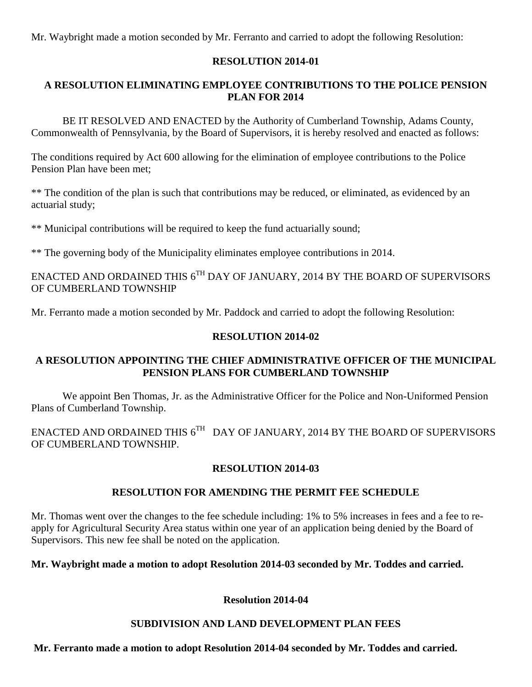Mr. Waybright made a motion seconded by Mr. Ferranto and carried to adopt the following Resolution:

### **RESOLUTION 2014-01**

# **A RESOLUTION ELIMINATING EMPLOYEE CONTRIBUTIONS TO THE POLICE PENSION PLAN FOR 2014**

BE IT RESOLVED AND ENACTED by the Authority of Cumberland Township, Adams County, Commonwealth of Pennsylvania, by the Board of Supervisors, it is hereby resolved and enacted as follows:

The conditions required by Act 600 allowing for the elimination of employee contributions to the Police Pension Plan have been met;

\*\* The condition of the plan is such that contributions may be reduced, or eliminated, as evidenced by an actuarial study;

\*\* Municipal contributions will be required to keep the fund actuarially sound;

\*\* The governing body of the Municipality eliminates employee contributions in 2014.

ENACTED AND ORDAINED THIS  $6^{\text{TH}}$  DAY OF JANUARY, 2014 BY THE BOARD OF SUPERVISORS OF CUMBERLAND TOWNSHIP

Mr. Ferranto made a motion seconded by Mr. Paddock and carried to adopt the following Resolution:

### **RESOLUTION 2014-02**

### **A RESOLUTION APPOINTING THE CHIEF ADMINISTRATIVE OFFICER OF THE MUNICIPAL PENSION PLANS FOR CUMBERLAND TOWNSHIP**

We appoint Ben Thomas, Jr. as the Administrative Officer for the Police and Non-Uniformed Pension Plans of Cumberland Township.

ENACTED AND ORDAINED THIS  $6^{TH}$  DAY OF JANUARY, 2014 BY THE BOARD OF SUPERVISORS OF CUMBERLAND TOWNSHIP.

# **RESOLUTION 2014-03**

# **RESOLUTION FOR AMENDING THE PERMIT FEE SCHEDULE**

Mr. Thomas went over the changes to the fee schedule including: 1% to 5% increases in fees and a fee to reapply for Agricultural Security Area status within one year of an application being denied by the Board of Supervisors. This new fee shall be noted on the application.

# **Mr. Waybright made a motion to adopt Resolution 2014-03 seconded by Mr. Toddes and carried.**

#### **Resolution 2014-04**

# **SUBDIVISION AND LAND DEVELOPMENT PLAN FEES**

**Mr. Ferranto made a motion to adopt Resolution 2014-04 seconded by Mr. Toddes and carried.**